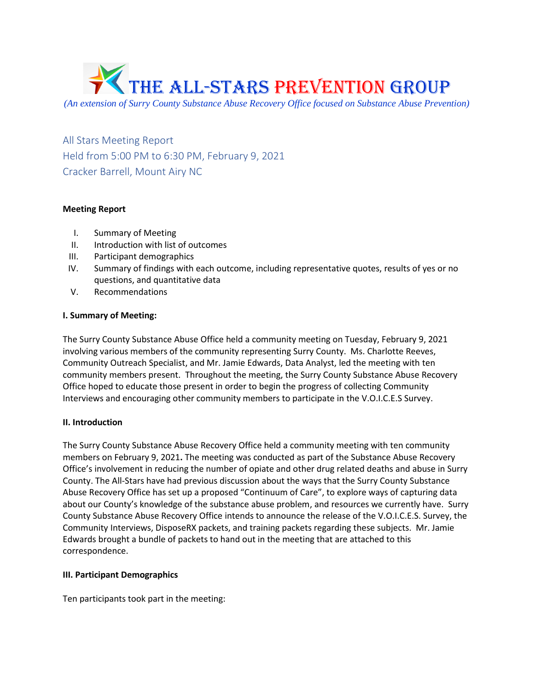

*(An extension of Surry County Substance Abuse Recovery Office focused on Substance Abuse Prevention)*

All Stars Meeting Report Held from 5:00 PM to 6:30 PM, February 9, 2021 Cracker Barrell, Mount Airy NC

## **Meeting Report**

- I. Summary of Meeting
- II. Introduction with list of outcomes
- III. Participant demographics
- IV. Summary of findings with each outcome, including representative quotes, results of yes or no questions, and quantitative data
- V. Recommendations

## **I. Summary of Meeting:**

The Surry County Substance Abuse Office held a community meeting on Tuesday, February 9, 2021 involving various members of the community representing Surry County. Ms. Charlotte Reeves, Community Outreach Specialist, and Mr. Jamie Edwards, Data Analyst, led the meeting with ten community members present. Throughout the meeting, the Surry County Substance Abuse Recovery Office hoped to educate those present in order to begin the progress of collecting Community Interviews and encouraging other community members to participate in the V.O.I.C.E.S Survey.

## **II. Introduction**

The Surry County Substance Abuse Recovery Office held a community meeting with ten community members on February 9, 2021**.** The meeting was conducted as part of the Substance Abuse Recovery Office's involvement in reducing the number of opiate and other drug related deaths and abuse in Surry County. The All-Stars have had previous discussion about the ways that the Surry County Substance Abuse Recovery Office has set up a proposed "Continuum of Care", to explore ways of capturing data about our County's knowledge of the substance abuse problem, and resources we currently have. Surry County Substance Abuse Recovery Office intends to announce the release of the V.O.I.C.E.S. Survey, the Community Interviews, DisposeRX packets, and training packets regarding these subjects. Mr. Jamie Edwards brought a bundle of packets to hand out in the meeting that are attached to this correspondence.

## **III. Participant Demographics**

Ten participants took part in the meeting: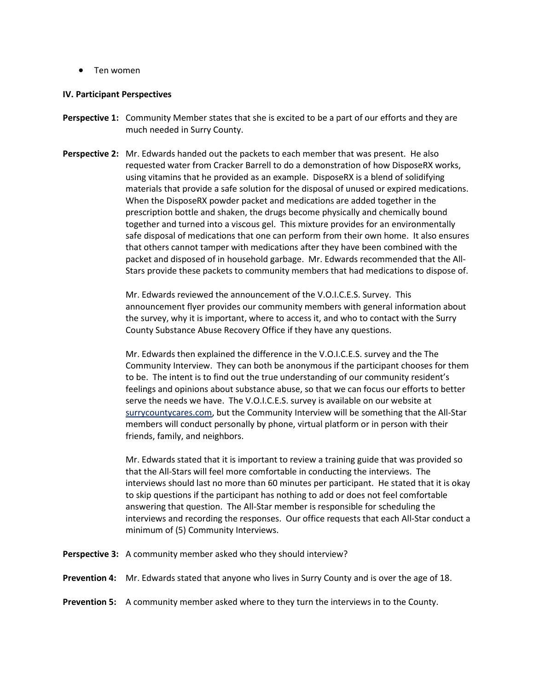• Ten women

### **IV. Participant Perspectives**

- **Perspective 1:** Community Member states that she is excited to be a part of our efforts and they are much needed in Surry County.
- **Perspective 2:** Mr. Edwards handed out the packets to each member that was present. He also requested water from Cracker Barrell to do a demonstration of how DisposeRX works, using vitamins that he provided as an example. DisposeRX is a blend of solidifying materials that provide a safe solution for the disposal of unused or expired medications. When the DisposeRX powder packet and medications are added together in the prescription bottle and shaken, the drugs become physically and chemically bound together and turned into a viscous gel. This mixture provides for an environmentally safe disposal of medications that one can perform from their own home. It also ensures that others cannot tamper with medications after they have been combined with the packet and disposed of in household garbage. Mr. Edwards recommended that the All-Stars provide these packets to community members that had medications to dispose of.

Mr. Edwards reviewed the announcement of the V.O.I.C.E.S. Survey. This announcement flyer provides our community members with general information about the survey, why it is important, where to access it, and who to contact with the Surry County Substance Abuse Recovery Office if they have any questions.

Mr. Edwards then explained the difference in the V.O.I.C.E.S. survey and the The Community Interview. They can both be anonymous if the participant chooses for them to be. The intent is to find out the true understanding of our community resident's feelings and opinions about substance abuse, so that we can focus our efforts to better serve the needs we have. The V.O.I.C.E.S. survey is available on our website at surrycountycares.com, but the Community Interview will be something that the All-Star members will conduct personally by phone, virtual platform or in person with their friends, family, and neighbors.

Mr. Edwards stated that it is important to review a training guide that was provided so that the All-Stars will feel more comfortable in conducting the interviews. The interviews should last no more than 60 minutes per participant. He stated that it is okay to skip questions if the participant has nothing to add or does not feel comfortable answering that question. The All-Star member is responsible for scheduling the interviews and recording the responses. Our office requests that each All-Star conduct a minimum of (5) Community Interviews.

**Perspective 3:** A community member asked who they should interview?

**Prevention 4:** Mr. Edwards stated that anyone who lives in Surry County and is over the age of 18.

**Prevention 5:** A community member asked where to they turn the interviews in to the County.